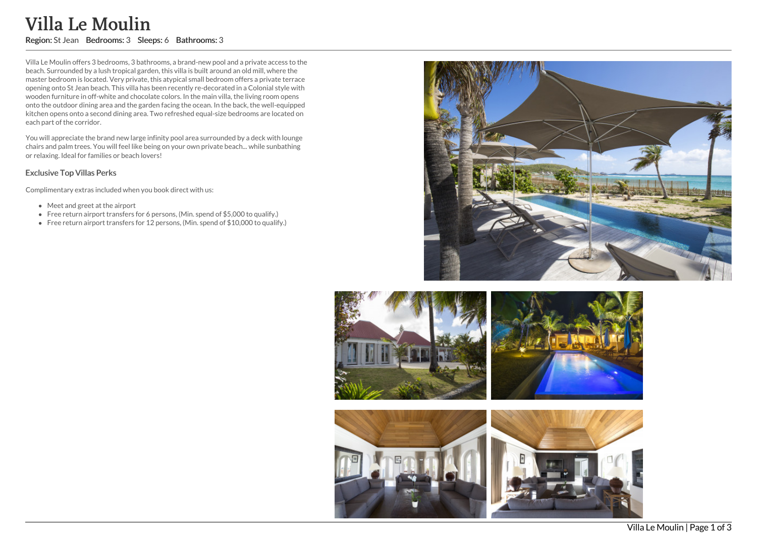## Villa Le Moulin

## Region: St Jean Bedrooms: 3 Sleeps: 6 Bathrooms: 3

Villa Le Moulin offers 3 bedrooms, 3 bathrooms, a brand-new pool and a private access to the beach. Surrounded by a lush tropical garden, this villa is built around an old mill, where the master bedroom is located. Very private, this atypical small bedroom offers a private terrace opening onto St Jean beach. This villa has been recently re-decorated in a Colonial style with wooden furniture in off-white and chocolate colors. In the main villa, the living room opens onto the outdoor dining area and the garden facing the ocean. In the back, the well-equipped kitchen opens onto a second dining area. Two refreshed equal-size bedrooms are located on each part of the corridor.

You will appreciate the brand new large infinity pool area surrounded by a deck with lounge chairs and palm trees. You will feel like being on your own private beach... while sunbathing or relaxing. Ideal for families or beach lovers!

## Exclusive Top Villas Perks

Complimentary extras included when you book direct with us:

- Meet and greet at the airport
- Free return airport transfers for 6 persons, (Min. spend of \$5,000 to qualify.)
- Free return airport transfers for 12 persons, (Min. spend of \$10,000 to qualify.)



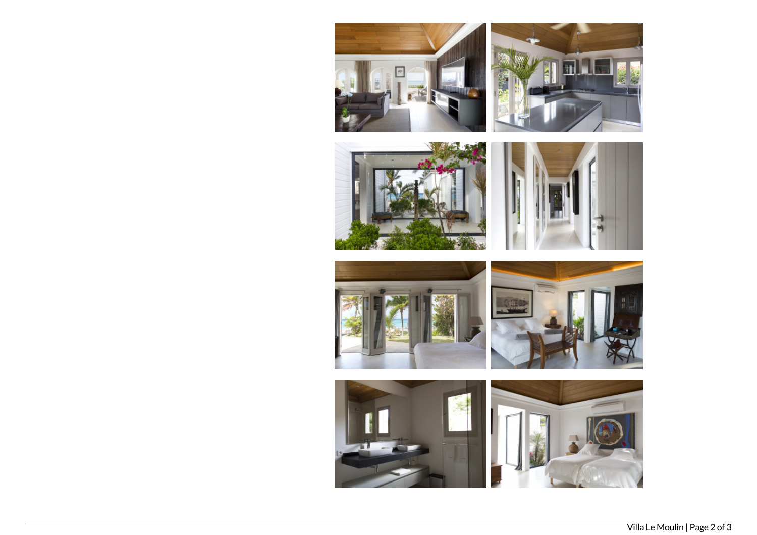